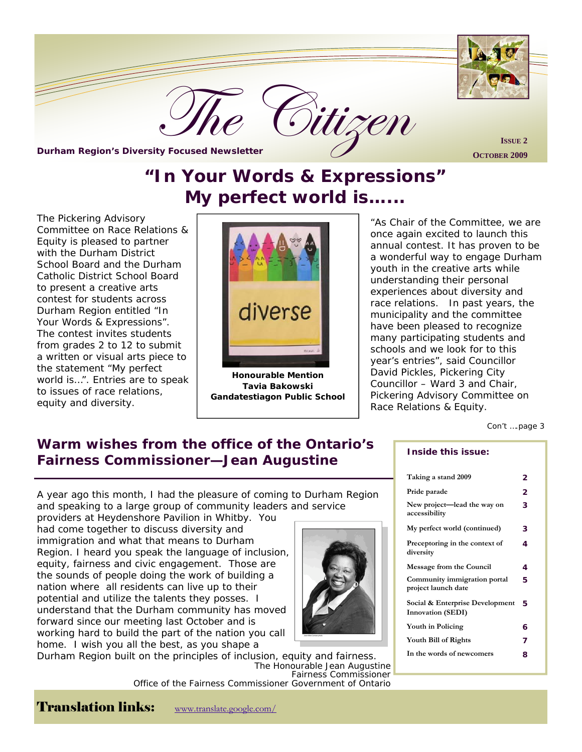

**OCTOBER 2009** 

# **"In Your Words & Expressions" My perfect world is…...**

The Pickering Advisory Committee on Race Relations & Equity is pleased to partner with the Durham District School Board and the Durham Catholic District School Board to present a creative arts contest for students across Durham Region entitled "In Your Words & Expressions". The contest invites students from grades 2 to 12 to submit a written or visual arts piece to the statement "My perfect world is…". Entries are to speak to issues of race relations, equity and diversity.



**Honourable Mention Tavia Bakowski Gandatestiagon Public School** 

"As Chair of the Committee, we are once again excited to launch this annual contest. It has proven to be a wonderful way to engage Durham youth in the creative arts while understanding their personal experiences about diversity and race relations. In past years, the municipality and the committee have been pleased to recognize many participating students and schools and we look for to this year's entries", said Councillor David Pickles, Pickering City Councillor – Ward 3 and Chair, Pickering Advisory Committee on Race Relations & Equity.

Con't ….page 3

## **Warm wishes from the office of the Ontario's Fairness Commissioner—Jean Augustine**

A year ago this month, I had the pleasure of coming to Durham Region and speaking to a large group of community leaders and service

providers at Heydenshore Pavilion in Whitby. You had come together to discuss diversity and immigration and what that means to Durham Region. I heard you speak the language of inclusion, equity, fairness and civic engagement. Those are the sounds of people doing the work of building a nation where all residents can live up to their potential and utilize the talents they posses. I understand that the Durham community has moved forward since our meeting last October and is working hard to build the part of the nation you call home. I wish you all the best, as you shape a



Durham Region built on the principles of inclusion, equity and fairness. *The Honourable Jean Augustine Fairness Commission*er *Office of the Fairness Commissioner Government of Ontario* 

#### **Inside this issue:**

| 2 |
|---|
| 2 |
| 3 |
| 3 |
| 4 |
| 4 |
| 5 |
| 5 |
| 6 |
| 7 |
| 8 |
|   |

Translation links: www.translate.google.com/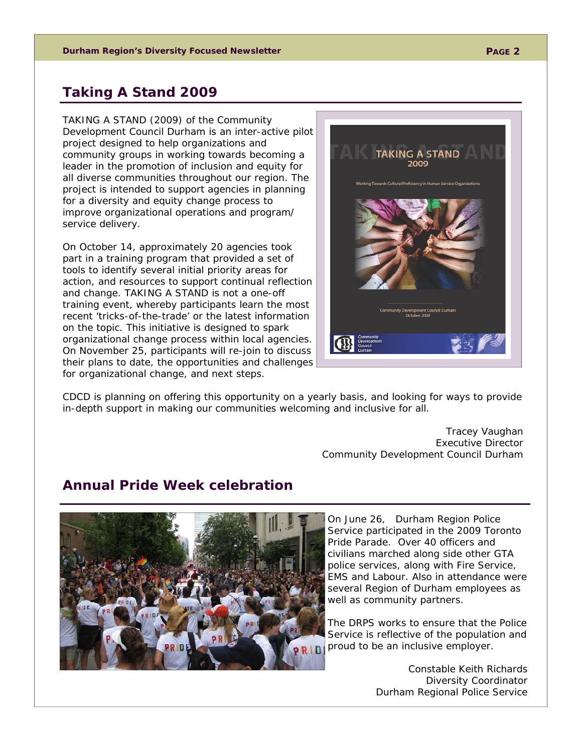### **Taking A Stand 2009**

TAKING A STAND (2009) of the Community Development Council Durham is an inter-active pilot project designed to help organizations and community groups in working towards becoming a leader in the promotion of inclusion and equity for all diverse communities throughout our region. The project is intended to support agencies in planning for a diversity and equity change process to improve organizational operations and program/ service delivery.

On October 14, approximately 20 agencies took part in a training program that provided a set of tools to identify several initial priority areas for action, and resources to support continual reflection and change. TAKING A STAND is not a one-off training event, whereby participants learn the most recent 'tricks-of-the-trade' or the latest information on the topic. This initiative is designed to spark organizational change process within local agencies. On November 25, participants will re-join to discuss their plans to date, the opportunities and challenges for organizational change, and next steps.



CDCD is planning on offering this opportunity on a yearly basis, and looking for ways to provide in-depth support in making our communities welcoming and inclusive for all.

> *Tracey Vaughan Executive Director Community Development Council Durham*

#### **Annual Pride Week celebration**



On June 26, Durham Region Police Service participated in the 2009 Toronto Pride Parade. Over 40 officers and civilians marched along side other GTA police services, along with Fire Service, EMS and Labour. Also in attendance were several Region of Durham employees as well as community partners.

The DRPS works to ensure that the Police Service is reflective of the population and proud to be an inclusive employer.

> *Constable Keith Richards Diversity Coordinator Durham Regional Police Service*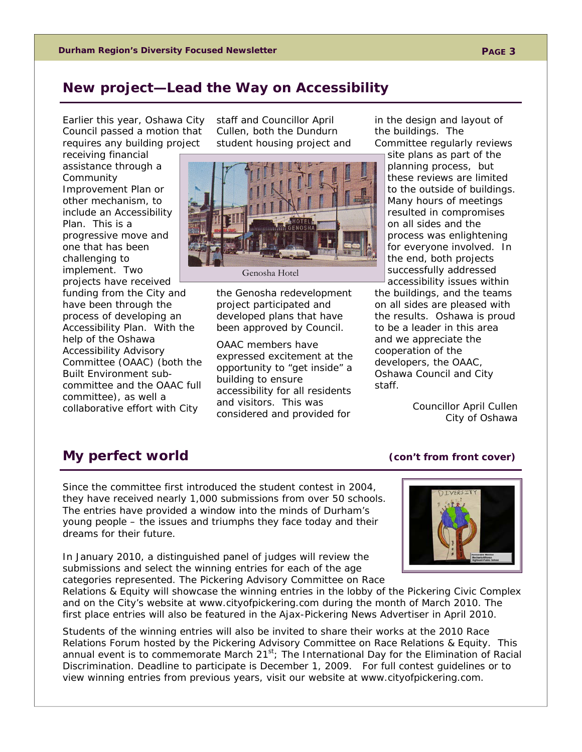### **New project—Lead the Way on Accessibility**

Earlier this year, Oshawa City Council passed a motion that requires any building project

receiving financial assistance through a Community Improvement Plan or other mechanism, to include an Accessibility Plan. This is a progressive move and one that has been challenging to implement. Two projects have received funding from the City and have been through the process of developing an Accessibility Plan. With the help of the Oshawa Accessibility Advisory Committee (OAAC) (both the Built Environment subcommittee and the OAAC full committee), as well a collaborative effort with City

staff and Councillor April Cullen, both the Dundurn student housing project and



Genosha Hotel

the Genosha redevelopment project participated and developed plans that have been approved by Council.

OAAC members have expressed excitement at the opportunity to "get inside" a building to ensure accessibility for all residents and visitors. This was considered and provided for

in the design and layout of the buildings. The Committee regularly reviews

site plans as part of the planning process, but these reviews are limited to the outside of buildings. Many hours of meetings resulted in compromises on all sides and the process was enlightening for everyone involved. In the end, both projects successfully addressed accessibility issues within

the buildings, and the teams on all sides are pleased with the results. Oshawa is proud to be a leader in this area and we appreciate the cooperation of the developers, the OAAC, Oshawa Council and City staff.

> *Councillor April Cullen City of Oshawa*

### **My perfect world** (con't from front cover)

Since the committee first introduced the student contest in 2004, they have received nearly 1,000 submissions from over 50 schools. The entries have provided a window into the minds of Durham's young people – the issues and triumphs they face today and their dreams for their future.

In January 2010, a distinguished panel of judges will review the submissions and select the winning entries for each of the age categories represented. The Pickering Advisory Committee on Race



Relations & Equity will showcase the winning entries in the lobby of the Pickering Civic Complex and on the City's website at www.cityofpickering.com during the month of March 2010. The first place entries will also be featured in the Ajax-Pickering News Advertiser in April 2010.

Students of the winning entries will also be invited to share their works at the 2010 Race Relations Forum hosted by the Pickering Advisory Committee on Race Relations & Equity. This annual event is to commemorate March  $21^{st}$ ; The International Day for the Elimination of Racial Discrimination. Deadline to participate is December 1, 2009. For full contest guidelines or to view winning entries from previous years, visit our website at www.cityofpickering.com.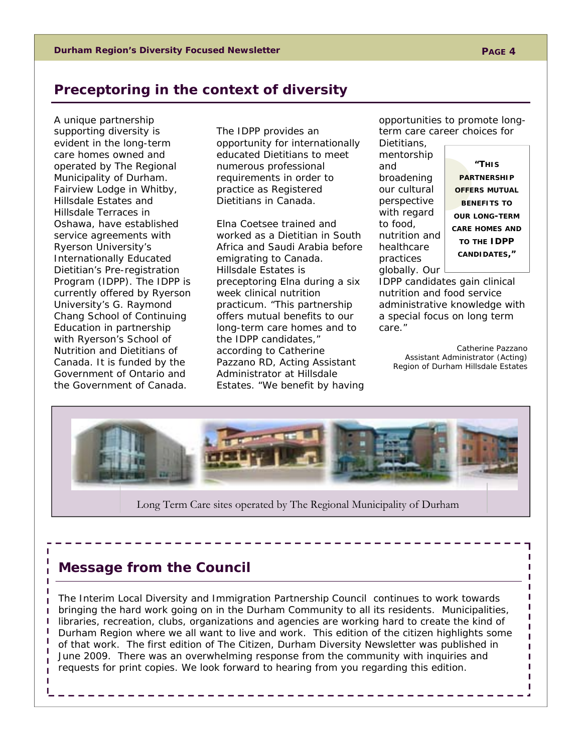## **Preceptoring in the context of diversity**

A unique partnership supporting diversity is evident in the long-term care homes owned and operated by The Regional Municipality of Durham. Fairview Lodge in Whitby, Hillsdale Estates and Hillsdale Terraces in Oshawa, have established service agreements with Ryerson University's Internationally Educated Dietitian's Pre-registration Program (IDPP). The IDPP is currently offered by Ryerson University's G. Raymond Chang School of Continuing Education in partnership with Ryerson's School of Nutrition and Dietitians of Canada. It is funded by the Government of Ontario and the Government of Canada.

The IDPP provides an opportunity for internationally educated Dietitians to meet numerous professional requirements in order to practice as Registered Dietitians in Canada.

Elna Coetsee trained and worked as a Dietitian in South Africa and Saudi Arabia before emigrating to Canada. Hillsdale Estates is preceptoring Elna during a six week clinical nutrition practicum. "This partnership offers mutual benefits to our long-term care homes and to the IDPP candidates," according to Catherine Pazzano RD, Acting Assistant Administrator at Hillsdale Estates. "We benefit by having

opportunities to promote longterm care career choices for

Dietitians, mentorship and broadening our cultural perspective with regard to food, nutrition and healthcare practices globally. Our

**"THIS PARTNERSHIP OFFERS MUTUAL BENEFITS TO OUR LONG-TERM CARE HOMES AND TO THE IDPP CANDIDATES,"** 

IDPP candidates gain clinical nutrition and food service administrative knowledge with a special focus on long term care."

*Catherine Pazzano*  Assistant Administrator (Acting) Region of Durham Hillsdale Estates



## **Message from the Council**

The Interim Local Diversity and Immigration Partnership Council continues to work towards bringing the hard work going on in the Durham Community to all its residents. Municipalities, libraries, recreation, clubs, organizations and agencies are working hard to create the kind of Durham Region where we all want to live and work. This edition of the citizen highlights some of that work. The first edition of The Citizen, Durham Diversity Newsletter was published in June 2009. There was an overwhelming response from the community with inquiries and requests for print copies. We look forward to hearing from you regarding this edition.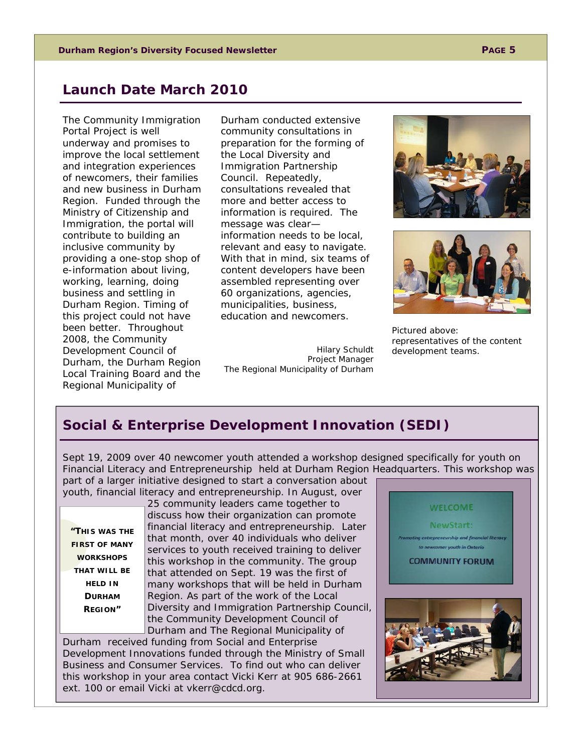#### **Launch Date March 2010**

The Community Immigration Portal Project is well underway and promises to improve the local settlement and integration experiences of newcomers, their families and new business in Durham Region. Funded through the Ministry of Citizenship and Immigration, the portal will contribute to building an inclusive community by providing a one-stop shop of e-information about living, working, learning, doing business and settling in Durham Region. Timing of this project could not have been better. Throughout 2008, the Community Development Council of Durham, the Durham Region Local Training Board and the Regional Municipality of

Durham conducted extensive community consultations in preparation for the forming of the Local Diversity and Immigration Partnership Council. Repeatedly, consultations revealed that more and better access to information is required. The message was clear information needs to be local, relevant and easy to navigate. With that in mind, six teams of content developers have been assembled representing over 60 organizations, agencies, municipalities, business, education and newcomers.

Hilary Schuldt Project Manager The Regional Municipality of Durham





Pictured above: representatives of the content development teams.

## **Social & Enterprise Development Innovation (SEDI)**

Sept 19, 2009 over 40 newcomer youth attended a workshop designed specifically for youth on Financial Literacy and Entrepreneurship held at Durham Region Headquarters. This workshop was part of a larger initiative designed to start a conversation about

**"THIS WAS THE FIRST OF MANY WORKSHOPS THAT WILL BE HELD IN DURHAM REGION"** 

youth, financial literacy and entrepreneurship. In August, over 25 community leaders came together to discuss how their organization can promote financial literacy and entrepreneurship. Later that month, over 40 individuals who deliver services to youth received training to deliver this workshop in the community. The group that attended on Sept. 19 was the first of many workshops that will be held in Durham Region. As part of the work of the Local Diversity and Immigration Partnership Council, the Community Development Council of Durham and The Regional Municipality of

Durham received funding from Social and Enterprise Development Innovations funded through the Ministry of Small Business and Consumer Services. To find out who can deliver this workshop in your area contact Vicki Kerr at 905 686-2661 ext. 100 or email Vicki at vkerr@cdcd.org.

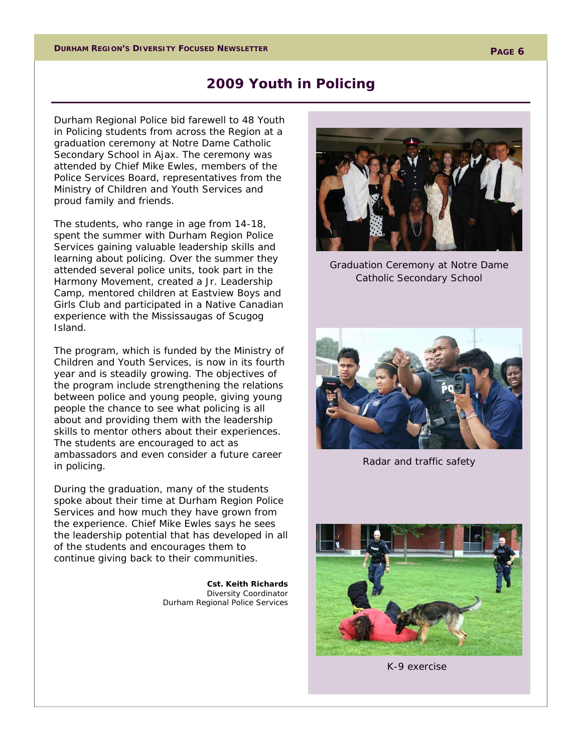#### **2009 Youth in Policing**

Durham Regional Police bid farewell to 48 Youth in Policing students from across the Region at a graduation ceremony at Notre Dame Catholic Secondary School in Ajax. The ceremony was attended by Chief Mike Ewles, members of the Police Services Board, representatives from the Ministry of Children and Youth Services and proud family and friends.

The students, who range in age from 14-18, spent the summer with Durham Region Police Services gaining valuable leadership skills and learning about policing. Over the summer they attended several police units, took part in the Harmony Movement, created a Jr. Leadership Camp, mentored children at Eastview Boys and Girls Club and participated in a Native Canadian experience with the Mississaugas of Scugog Island.

The program, which is funded by the Ministry of Children and Youth Services, is now in its fourth year and is steadily growing. The objectives of the program include strengthening the relations between police and young people, giving young people the chance to see what policing is all about and providing them with the leadership skills to mentor others about their experiences. The students are encouraged to act as ambassadors and even consider a future career in policing.

During the graduation, many of the students spoke about their time at Durham Region Police Services and how much they have grown from the experience. Chief Mike Ewles says he sees the leadership potential that has developed in all of the students and encourages them to continue giving back to their communities.

> *Cst. Keith Richards Diversity Coordinator Durham Regional Police Services*

Graduation Ceremony

Graduation Ceremony at Notre Dame Catholic Secondary School



Radar and traffic safety



K-9 exercise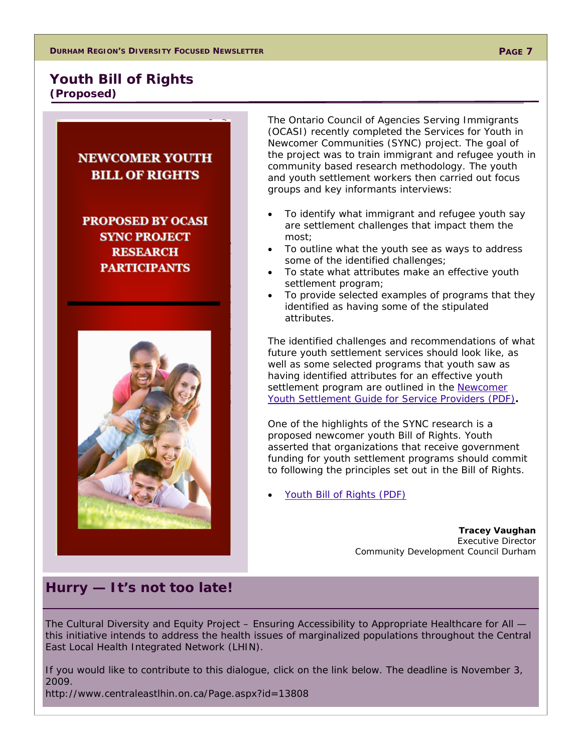#### **Youth Bill of Rights (Proposed)**

## **NEWCOMER YOUTH BILL OF RIGHTS**

**PROPOSED BY OCASI SYNC PROJECT RESEARCH PARTICIPANTS** 



The Ontario Council of Agencies Serving Immigrants (OCASI) recently completed the Services for Youth in Newcomer Communities (SYNC) project. The goal of the project was to train immigrant and refugee youth in community based research methodology. The youth and youth settlement workers then carried out focus groups and key informants interviews:

- To identify what immigrant and refugee youth say are settlement challenges that impact them the most;
- To outline what the youth see as ways to address some of the identified challenges;
- To state what attributes make an effective youth settlement program;
- To provide selected examples of programs that they identified as having some of the stipulated attributes.

The identified challenges and recommendations of what future youth settlement services should look like, as well as some selected programs that youth saw as having identified attributes for an effective youth settlement program are outlined in the Newcomer Youth Settlement Guide for Service Providers (PDF)**.**

One of the highlights of the SYNC research is a proposed newcomer youth Bill of Rights. Youth asserted that organizations that receive government funding for youth settlement programs should commit to following the principles set out in the Bill of Rights.

Youth Bill of Rights (PDF)

*Tracey Vaughan Executive Director Community Development Council Durham* 

#### **Hurry — It's not too late!**

The Cultural Diversity and Equity Project - Ensuring Accessibility to Appropriate Healthcare for All this initiative intends to address the health issues of marginalized populations throughout the Central East Local Health Integrated Network (LHIN).

If you would like to contribute to this dialogue, click on the link below. The deadline is November 3, 2009.

http://www.centraleastlhin.on.ca/Page.aspx?id=13808